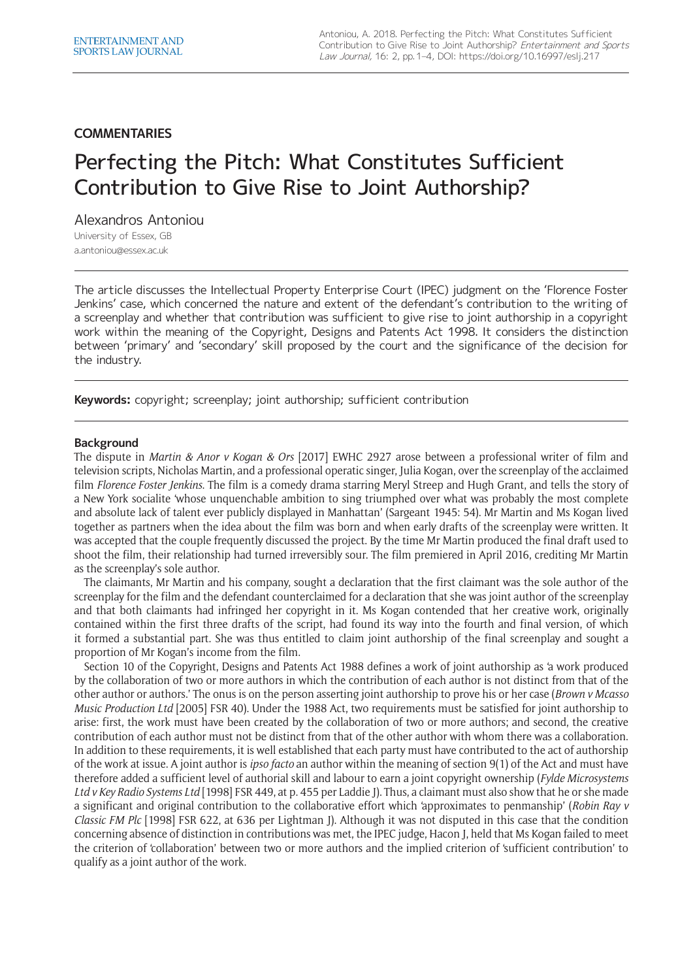## **COMMENTARIES**

# Perfecting the Pitch: What Constitutes Sufficient Contribution to Give Rise to Joint Authorship?

Alexandros Antoniou

University of Essex, GB [a.antoniou@essex.ac.uk](mailto:a.antoniou@essex.ac.uk)

The article discusses the Intellectual Property Enterprise Court (IPEC) judgment on the 'Florence Foster Jenkins' case, which concerned the nature and extent of the defendant's contribution to the writing of a screenplay and whether that contribution was sufficient to give rise to joint authorship in a copyright work within the meaning of the Copyright, Designs and Patents Act 1998. It considers the distinction between 'primary' and 'secondary' skill proposed by the court and the significance of the decision for the industry.

**Keywords:** copyright; screenplay; joint authorship; sufficient contribution

#### **Background**

The dispute in *Martin & Anor v Kogan & Ors* [2017] EWHC 2927 arose between a professional writer of film and television scripts, Nicholas Martin, and a professional operatic singer, Julia Kogan, over the screenplay of the acclaimed film *Florence Foster Jenkins*. The film is a comedy drama starring Meryl Streep and Hugh Grant, and tells the story of a New York socialite 'whose unquenchable ambition to sing triumphed over what was probably the most complete and absolute lack of talent ever publicly displayed in Manhattan' (Sargeant 1945: 54). Mr Martin and Ms Kogan lived together as partners when the idea about the film was born and when early drafts of the screenplay were written. It was accepted that the couple frequently discussed the project. By the time Mr Martin produced the final draft used to shoot the film, their relationship had turned irreversibly sour. The film premiered in April 2016, crediting Mr Martin as the screenplay's sole author.

The claimants, Mr Martin and his company, sought a declaration that the first claimant was the sole author of the screenplay for the film and the defendant counterclaimed for a declaration that she was joint author of the screenplay and that both claimants had infringed her copyright in it. Ms Kogan contended that her creative work, originally contained within the first three drafts of the script, had found its way into the fourth and final version, of which it formed a substantial part. She was thus entitled to claim joint authorship of the final screenplay and sought a proportion of Mr Kogan's income from the film.

Section 10 of the Copyright, Designs and Patents Act 1988 defines a work of joint authorship as 'a work produced by the collaboration of two or more authors in which the contribution of each author is not distinct from that of the other author or authors.' The onus is on the person asserting joint authorship to prove his or her case (*Brown v Mcasso Music Production Ltd* [2005] FSR 40). Under the 1988 Act, two requirements must be satisfied for joint authorship to arise: first, the work must have been created by the collaboration of two or more authors; and second, the creative contribution of each author must not be distinct from that of the other author with whom there was a collaboration. In addition to these requirements, it is well established that each party must have contributed to the act of authorship of the work at issue. A joint author is *ipso facto* an author within the meaning of section 9(1) of the Act and must have therefore added a sufficient level of authorial skill and labour to earn a joint copyright ownership (*Fylde Microsystems Ltd v Key Radio Systems Ltd* [1998] FSR 449, at p. 455 per Laddie J). Thus, a claimant must also show that he or she made a significant and original contribution to the collaborative effort which 'approximates to penmanship' (*Robin Ray v Classic FM Plc* [1998] FSR 622, at 636 per Lightman J). Although it was not disputed in this case that the condition concerning absence of distinction in contributions was met, the IPEC judge, Hacon J, held that Ms Kogan failed to meet the criterion of 'collaboration' between two or more authors and the implied criterion of 'sufficient contribution' to qualify as a joint author of the work.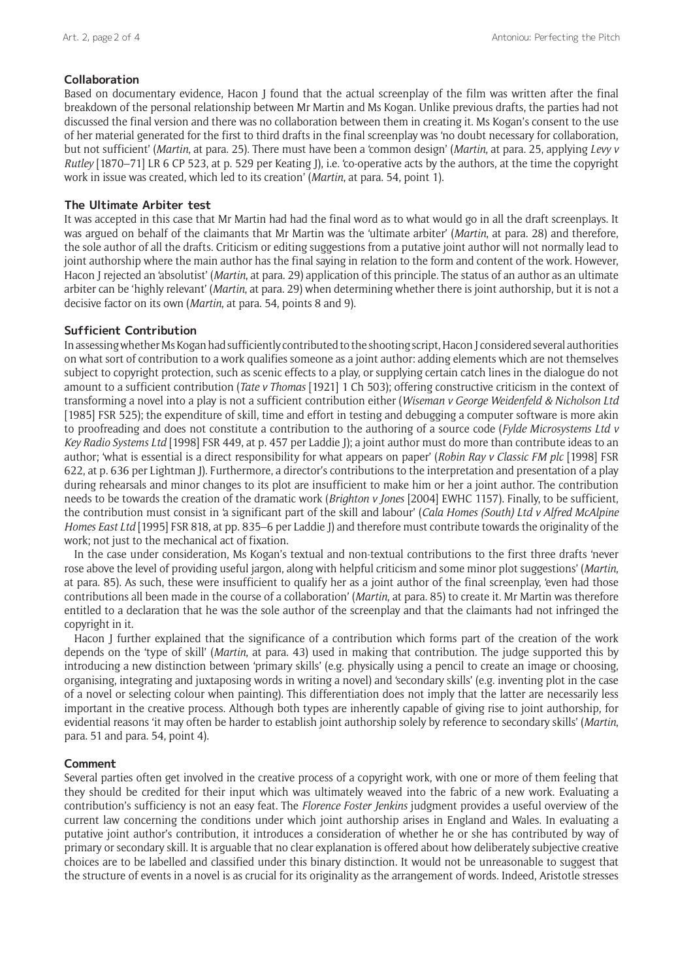## **Collaboration**

Based on documentary evidence, Hacon J found that the actual screenplay of the film was written after the final breakdown of the personal relationship between Mr Martin and Ms Kogan. Unlike previous drafts, the parties had not discussed the final version and there was no collaboration between them in creating it. Ms Kogan's consent to the use of her material generated for the first to third drafts in the final screenplay was 'no doubt necessary for collaboration, but not sufficient' (*Martin*, at para. 25). There must have been a 'common design' (*Martin*, at para. 25, applying *Levy v Rutley* [1870–71] LR 6 CP 523, at p. 529 per Keating J), i.e. 'co-operative acts by the authors, at the time the copyright work in issue was created, which led to its creation' (*Martin*, at para. 54, point 1).

## **The Ultimate Arbiter test**

It was accepted in this case that Mr Martin had had the final word as to what would go in all the draft screenplays. It was argued on behalf of the claimants that Mr Martin was the 'ultimate arbiter' (*Martin*, at para. 28) and therefore, the sole author of all the drafts. Criticism or editing suggestions from a putative joint author will not normally lead to joint authorship where the main author has the final saying in relation to the form and content of the work. However, Hacon J rejected an 'absolutist' (*Martin*, at para. 29) application of this principle. The status of an author as an ultimate arbiter can be 'highly relevant' (*Martin*, at para. 29) when determining whether there is joint authorship, but it is not a decisive factor on its own (*Martin*, at para. 54, points 8 and 9).

## **Sufficient Contribution**

In assessing whether Ms Kogan had sufficiently contributed to the shooting script, Hacon J considered several authorities on what sort of contribution to a work qualifies someone as a joint author: adding elements which are not themselves subject to copyright protection, such as scenic effects to a play, or supplying certain catch lines in the dialogue do not amount to a sufficient contribution (*Tate v Thomas* [1921] 1 Ch 503); offering constructive criticism in the context of transforming a novel into a play is not a sufficient contribution either (*Wiseman v George Weidenfeld & Nicholson Ltd* [1985] FSR 525); the expenditure of skill, time and effort in testing and debugging a computer software is more akin to proofreading and does not constitute a contribution to the authoring of a source code (*Fylde Microsystems Ltd v Key Radio Systems Ltd* [1998] FSR 449, at p. 457 per Laddie J); a joint author must do more than contribute ideas to an author; 'what is essential is a direct responsibility for what appears on paper' (*Robin Ray v Classic FM plc* [1998] FSR 622, at p. 636 per Lightman J). Furthermore, a director's contributions to the interpretation and presentation of a play during rehearsals and minor changes to its plot are insufficient to make him or her a joint author. The contribution needs to be towards the creation of the dramatic work (*Brighton v Jones* [2004] EWHC 1157). Finally, to be sufficient, the contribution must consist in 'a significant part of the skill and labour' (*Cala Homes (South) Ltd v Alfred McAlpine Homes East Ltd* [1995] FSR 818, at pp. 835–6 per Laddie J) and therefore must contribute towards the originality of the work; not just to the mechanical act of fixation.

In the case under consideration, Ms Kogan's textual and non-textual contributions to the first three drafts 'never rose above the level of providing useful jargon, along with helpful criticism and some minor plot suggestions' (*Martin*, at para. 85). As such, these were insufficient to qualify her as a joint author of the final screenplay, 'even had those contributions all been made in the course of a collaboration' (*Martin*, at para. 85) to create it. Mr Martin was therefore entitled to a declaration that he was the sole author of the screenplay and that the claimants had not infringed the copyright in it.

Hacon J further explained that the significance of a contribution which forms part of the creation of the work depends on the 'type of skill' (*Martin*, at para. 43) used in making that contribution. The judge supported this by introducing a new distinction between 'primary skills' (e.g. physically using a pencil to create an image or choosing, organising, integrating and juxtaposing words in writing a novel) and 'secondary skills' (e.g. inventing plot in the case of a novel or selecting colour when painting). This differentiation does not imply that the latter are necessarily less important in the creative process. Although both types are inherently capable of giving rise to joint authorship, for evidential reasons 'it may often be harder to establish joint authorship solely by reference to secondary skills' (*Martin*, para. 51 and para. 54, point 4).

## **Comment**

Several parties often get involved in the creative process of a copyright work, with one or more of them feeling that they should be credited for their input which was ultimately weaved into the fabric of a new work. Evaluating a contribution's sufficiency is not an easy feat. The *Florence Foster Jenkins* judgment provides a useful overview of the current law concerning the conditions under which joint authorship arises in England and Wales. In evaluating a putative joint author's contribution, it introduces a consideration of whether he or she has contributed by way of primary or secondary skill. It is arguable that no clear explanation is offered about how deliberately subjective creative choices are to be labelled and classified under this binary distinction. It would not be unreasonable to suggest that the structure of events in a novel is as crucial for its originality as the arrangement of words. Indeed, Aristotle stresses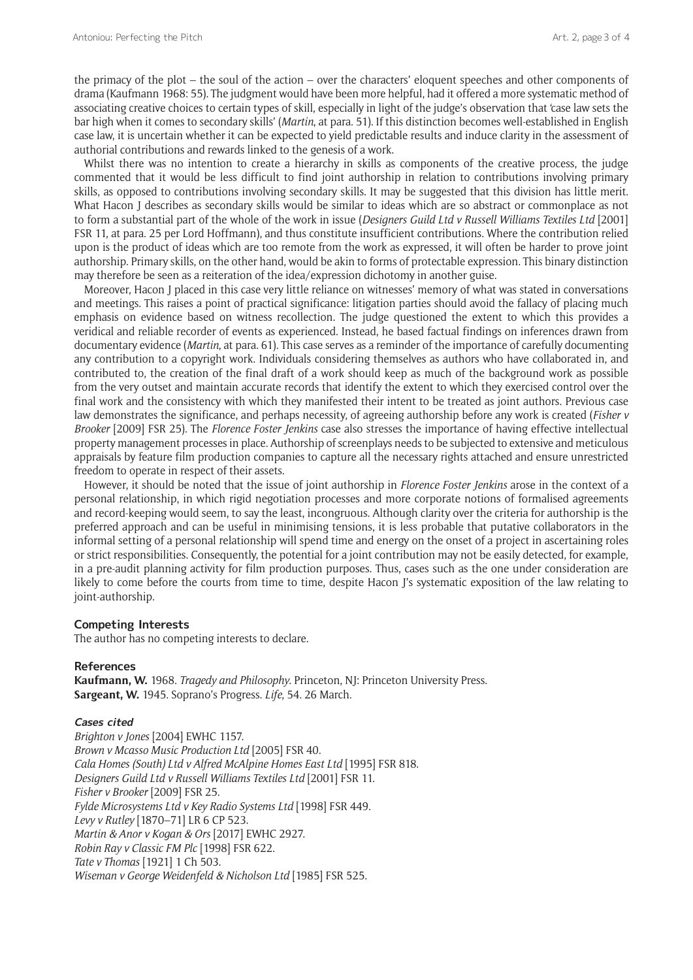the primacy of the plot – the soul of the action – over the characters' eloquent speeches and other components of drama (Kaufmann 1968: 55). The judgment would have been more helpful, had it offered a more systematic method of associating creative choices to certain types of skill, especially in light of the judge's observation that 'case law sets the bar high when it comes to secondary skills' (*Martin*, at para. 51). If this distinction becomes well-established in English case law, it is uncertain whether it can be expected to yield predictable results and induce clarity in the assessment of authorial contributions and rewards linked to the genesis of a work.

Whilst there was no intention to create a hierarchy in skills as components of the creative process, the judge commented that it would be less difficult to find joint authorship in relation to contributions involving primary skills, as opposed to contributions involving secondary skills. It may be suggested that this division has little merit. What Hacon I describes as secondary skills would be similar to ideas which are so abstract or commonplace as not to form a substantial part of the whole of the work in issue (*Designers Guild Ltd v Russell Williams Textiles Ltd* [2001] FSR 11, at para. 25 per Lord Hoffmann), and thus constitute insufficient contributions. Where the contribution relied upon is the product of ideas which are too remote from the work as expressed, it will often be harder to prove joint authorship. Primary skills, on the other hand, would be akin to forms of protectable expression. This binary distinction may therefore be seen as a reiteration of the idea/expression dichotomy in another guise.

Moreover, Hacon J placed in this case very little reliance on witnesses' memory of what was stated in conversations and meetings. This raises a point of practical significance: litigation parties should avoid the fallacy of placing much emphasis on evidence based on witness recollection. The judge questioned the extent to which this provides a veridical and reliable recorder of events as experienced. Instead, he based factual findings on inferences drawn from documentary evidence (*Martin*, at para. 61). This case serves as a reminder of the importance of carefully documenting any contribution to a copyright work. Individuals considering themselves as authors who have collaborated in, and contributed to, the creation of the final draft of a work should keep as much of the background work as possible from the very outset and maintain accurate records that identify the extent to which they exercised control over the final work and the consistency with which they manifested their intent to be treated as joint authors. Previous case law demonstrates the significance, and perhaps necessity, of agreeing authorship before any work is created (*Fisher v Brooker* [2009] FSR 25). The *Florence Foster Jenkins* case also stresses the importance of having effective intellectual property management processes in place. Authorship of screenplays needs to be subjected to extensive and meticulous appraisals by feature film production companies to capture all the necessary rights attached and ensure unrestricted freedom to operate in respect of their assets.

However, it should be noted that the issue of joint authorship in *Florence Foster Jenkins* arose in the context of a personal relationship, in which rigid negotiation processes and more corporate notions of formalised agreements and record-keeping would seem, to say the least, incongruous. Although clarity over the criteria for authorship is the preferred approach and can be useful in minimising tensions, it is less probable that putative collaborators in the informal setting of a personal relationship will spend time and energy on the onset of a project in ascertaining roles or strict responsibilities. Consequently, the potential for a joint contribution may not be easily detected, for example, in a pre-audit planning activity for film production purposes. Thus, cases such as the one under consideration are likely to come before the courts from time to time, despite Hacon J's systematic exposition of the law relating to joint-authorship.

#### **Competing Interests**

The author has no competing interests to declare.

#### **References**

**Kaufmann, W.** 1968. *Tragedy and Philosophy*. Princeton, NJ: Princeton University Press. **Sargeant, W.** 1945. Soprano's Progress. *Life*, 54. 26 March.

#### **Cases cited**

*Brighton v Jones* [2004] EWHC 1157. *Brown v Mcasso Music Production Ltd* [2005] FSR 40. *Cala Homes (South) Ltd v Alfred McAlpine Homes East Ltd* [1995] FSR 818. *Designers Guild Ltd v Russell Williams Textiles Ltd* [2001] FSR 11. *Fisher v Brooker* [2009] FSR 25. *Fylde Microsystems Ltd v Key Radio Systems Ltd* [1998] FSR 449. *Levy v Rutley* [1870–71] LR 6 CP 523. *Martin & Anor v Kogan & Ors* [2017] EWHC 2927. *Robin Ray v Classic FM Plc* [1998] FSR 622. *Tate v Thomas* [1921] 1 Ch 503. *Wiseman v George Weidenfeld & Nicholson Ltd* [1985] FSR 525.